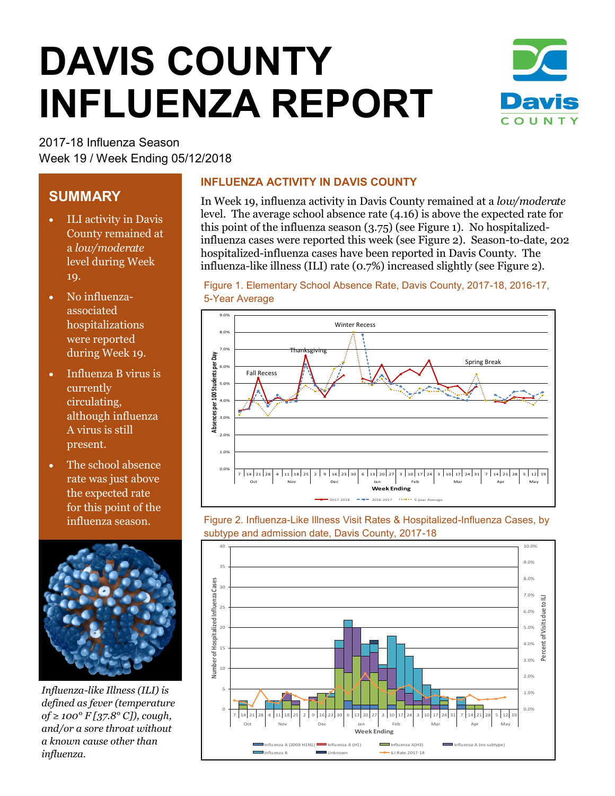# **DAVIS COUNTY INFLUENZA REPORT**



2017-18 Influenza Season Week 19 / Week Ending 05/12/2018

## **SUMMARY**

- ILI activity in Davis County remained at a *low/moderate*  level during Week 19.
- No influenzaassociated hospitalizations were reported during Week 19.
- Influenza B virus is currently circulating, although influenza A virus is still present.
- The school absence rate was just above the expected rate for this point of the influenza season.



*Influenza-like Illness (ILI) is defined as fever (temperature of ≥ 100° F [37.8° C]), cough, and/or a sore throat without a known cause other than influenza.*

#### **INFLUENZA ACTIVITY IN DAVIS COUNTY**

In Week 19, influenza activity in Davis County remained at a *low/moderate*  level. The average school absence rate (4.16) is above the expected rate for this point of the influenza season (3.75) (see Figure 1). No hospitalizedinfluenza cases were reported this week (see Figure 2). Season-to-date, 202 hospitalized-influenza cases have been reported in Davis County. The influenza-like illness (ILI) rate (0.7%) increased slightly (see Figure 2).

Figure 1. Elementary School Absence Rate, Davis County, 2017-18, 2016-17,